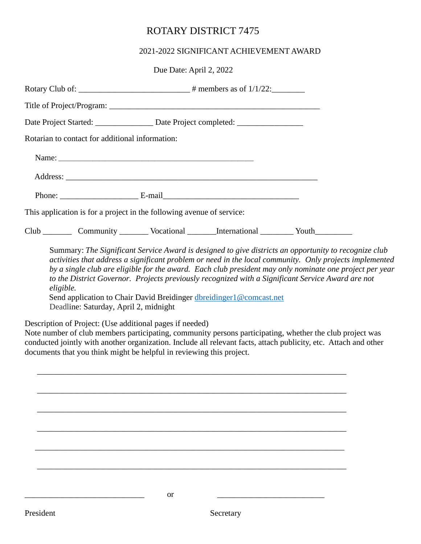## ROTARY DISTRICT 7475

## 2021-2022 SIGNIFICANT ACHIEVEMENT AWARD

|                                                 | Due Date: April 2, 2022                                                                 |  |
|-------------------------------------------------|-----------------------------------------------------------------------------------------|--|
|                                                 |                                                                                         |  |
|                                                 |                                                                                         |  |
|                                                 | Date Project Started: ______________________ Date Project completed: __________________ |  |
| Rotarian to contact for additional information: |                                                                                         |  |
|                                                 |                                                                                         |  |
|                                                 |                                                                                         |  |
|                                                 |                                                                                         |  |
|                                                 | This application is for a project in the following avenue of service:                   |  |
|                                                 | Club __________ Community __________ Vocational _________International __________ Youth |  |

Summary: *The Significant Service Award is designed to give districts an opportunity to recognize club activities that address a significant problem or need in the local community. Only projects implemented by a single club are eligible for the award. Each club president may only nominate one project per year to the District Governor. Projects previously recognized with a Significant Service Award are not eligible.*

Send application to Chair David Breidinger [dbreidinger1@comcast.net](mailto:dbreidinger1@comcast.net) Deadline: Saturday, April 2, midnight

Description of Project: (Use additional pages if needed)

Note number of club members participating, community persons participating, whether the club project was conducted jointly with another organization. Include all relevant facts, attach publicity, etc. Attach and other documents that you think might be helpful in reviewing this project.